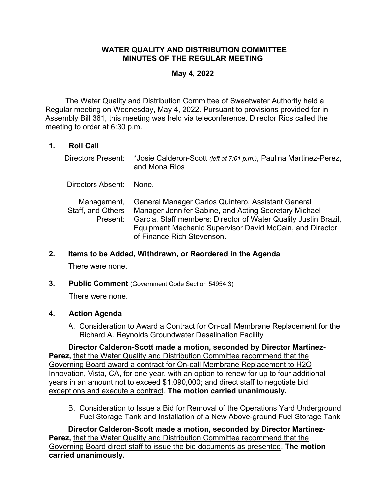## **WATER QUALITY AND DISTRIBUTION COMMITTEE MINUTES OF THE REGULAR MEETING**

## **May 4, 2022**

The Water Quality and Distribution Committee of Sweetwater Authority held a Regular meeting on Wednesday, May 4, 2022. Pursuant to provisions provided for in Assembly Bill 361, this meeting was held via teleconference. Director Rios called the meeting to order at 6:30 p.m.

# **1. Roll Call**

| Directors Present:                           | *Josie Calderon-Scott (left at 7:01 p.m.), Paulina Martinez-Perez,<br>and Mona Rios                                                                                                                                                                                      |
|----------------------------------------------|--------------------------------------------------------------------------------------------------------------------------------------------------------------------------------------------------------------------------------------------------------------------------|
| Directors Absent:                            | None                                                                                                                                                                                                                                                                     |
| Management,<br>Staff, and Others<br>Present: | General Manager Carlos Quintero, Assistant General<br>Manager Jennifer Sabine, and Acting Secretary Michael<br>Garcia. Staff members: Director of Water Quality Justin Brazil,<br>Equipment Mechanic Supervisor David McCain, and Director<br>of Finance Rich Stevenson. |

## **2. Items to be Added, Withdrawn, or Reordered in the Agenda**

There were none.

**3. Public Comment** (Government Code Section 54954.3)

There were none.

## **4. Action Agenda**

A. Consideration to Award a Contract for On-call Membrane Replacement for the Richard A. Reynolds Groundwater Desalination Facility

**Director Calderon-Scott made a motion, seconded by Director Martinez-Perez,** that the Water Quality and Distribution Committee recommend that the Governing Board award a contract for On-call Membrane Replacement to H2O Innovation, Vista, CA, for one year, with an option to renew for up to four additional years in an amount not to exceed \$1,090,000; and direct staff to negotiate bid exceptions and execute a contract. **The motion carried unanimously.**

B. Consideration to Issue a Bid for Removal of the Operations Yard Underground Fuel Storage Tank and Installation of a New Above-ground Fuel Storage Tank

**Director Calderon-Scott made a motion, seconded by Director Martinez-Perez,** that the Water Quality and Distribution Committee recommend that the Governing Board direct staff to issue the bid documents as presented. **The motion carried unanimously.**